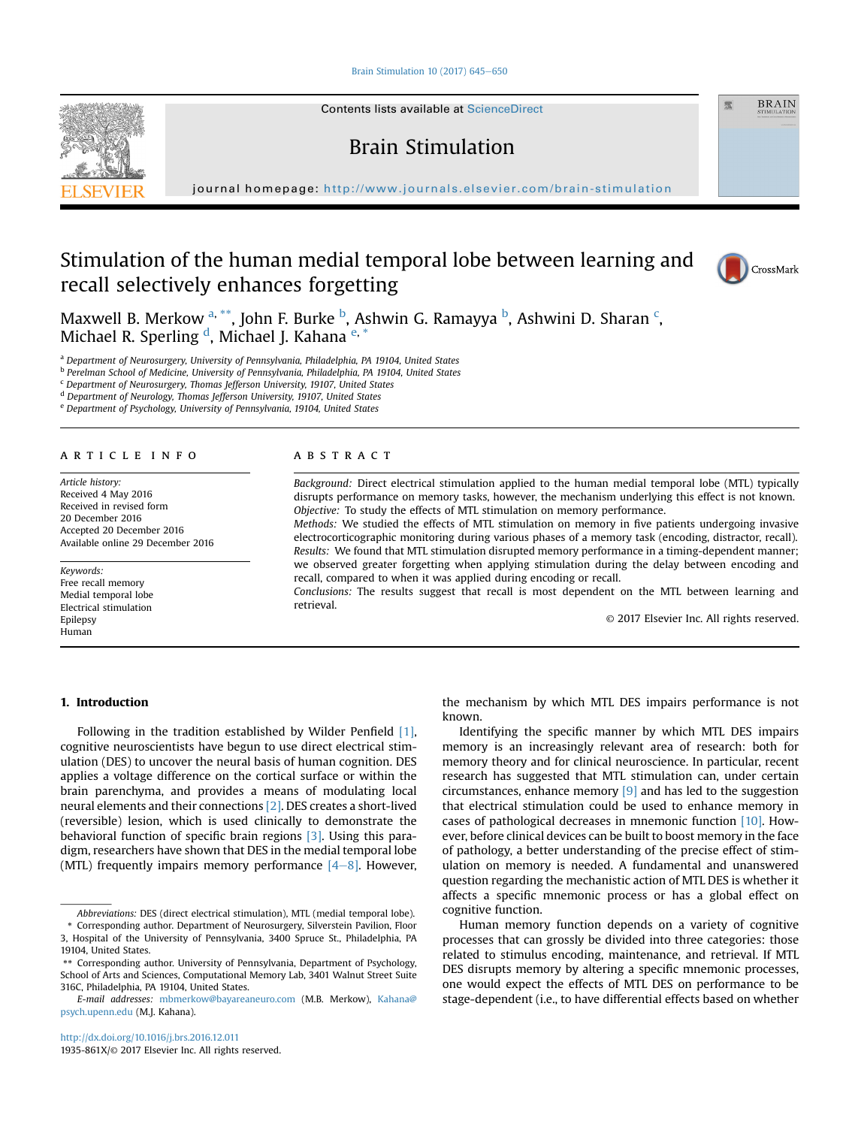### Brain Stimulation  $10(2017)$  645-[650](http://dx.doi.org/10.1016/j.brs.2016.12.011)



# Brain Stimulation

journal homepage: <http://www.journals.elsevier.com/brain-stimulation>

# Stimulation of the human medial temporal lobe between learning and recall selectively enhances forgetting



靈

**BRAIN** 

Maxwell B. Merkow <sup>a, \*\*</sup>, John F. Burke <sup>b</sup>, Ashwin G. Ramayya <sup>b</sup>, Ashwini D. Sharan <sup>c</sup>, Michael R. Sperling <sup>d</sup>, Michael J. Kahana <sup>e, \*</sup>

a Department of Neurosurgery, University of Pennsylvania, Philadelphia, PA 19104, United States

<sup>b</sup> Perelman School of Medicine, University of Pennsylvania, Philadelphia, PA 19104, United States

 $c$  Department of Neurosurgery, Thomas Jefferson University, 19107, United States

<sup>d</sup> Department of Neurology, Thomas Jefferson University, 19107, United States

<sup>e</sup> Department of Psychology, University of Pennsylvania, 19104, United States

## article info

Article history: Received 4 May 2016 Received in revised form 20 December 2016 Accepted 20 December 2016 Available online 29 December 2016

Keywords: Free recall memory Medial temporal lobe Electrical stimulation Epilepsy Human

## ABSTRACT

Background: Direct electrical stimulation applied to the human medial temporal lobe (MTL) typically disrupts performance on memory tasks, however, the mechanism underlying this effect is not known. Objective: To study the effects of MTL stimulation on memory performance.

Methods: We studied the effects of MTL stimulation on memory in five patients undergoing invasive electrocorticographic monitoring during various phases of a memory task (encoding, distractor, recall). Results: We found that MTL stimulation disrupted memory performance in a timing-dependent manner; we observed greater forgetting when applying stimulation during the delay between encoding and recall, compared to when it was applied during encoding or recall.

Conclusions: The results suggest that recall is most dependent on the MTL between learning and retrieval.

© 2017 Elsevier Inc. All rights reserved.

# 1. Introduction

Following in the tradition established by Wilder Penfield [\[1\],](#page-4-0) cognitive neuroscientists have begun to use direct electrical stimulation (DES) to uncover the neural basis of human cognition. DES applies a voltage difference on the cortical surface or within the brain parenchyma, and provides a means of modulating local neural elements and their connections [\[2\].](#page-5-0) DES creates a short-lived (reversible) lesion, which is used clinically to demonstrate the behavioral function of specific brain regions [\[3\].](#page-5-0) Using this paradigm, researchers have shown that DES in the medial temporal lobe (MTL) frequently impairs memory performance  $[4-8]$  $[4-8]$ . However,

the mechanism by which MTL DES impairs performance is not known.

Identifying the specific manner by which MTL DES impairs memory is an increasingly relevant area of research: both for memory theory and for clinical neuroscience. In particular, recent research has suggested that MTL stimulation can, under certain circumstances, enhance memory  $[9]$  and has led to the suggestion that electrical stimulation could be used to enhance memory in cases of pathological decreases in mnemonic function [\[10\].](#page-5-0) However, before clinical devices can be built to boost memory in the face of pathology, a better understanding of the precise effect of stimulation on memory is needed. A fundamental and unanswered question regarding the mechanistic action of MTL DES is whether it affects a specific mnemonic process or has a global effect on cognitive function.

Human memory function depends on a variety of cognitive processes that can grossly be divided into three categories: those related to stimulus encoding, maintenance, and retrieval. If MTL DES disrupts memory by altering a specific mnemonic processes, one would expect the effects of MTL DES on performance to be stage-dependent (i.e., to have differential effects based on whether

Abbreviations: DES (direct electrical stimulation), MTL (medial temporal lobe).

Corresponding author. Department of Neurosurgery, Silverstein Pavilion, Floor 3, Hospital of the University of Pennsylvania, 3400 Spruce St., Philadelphia, PA 19104, United States.

<sup>\*\*</sup> Corresponding author. University of Pennsylvania, Department of Psychology, School of Arts and Sciences, Computational Memory Lab, 3401 Walnut Street Suite 316C, Philadelphia, PA 19104, United States.

E-mail addresses: [mbmerkow@bayareaneuro.com](mailto:mbmerkow@bayareaneuro.com) (M.B. Merkow), [Kahana@](mailto:Kahana@psych.upenn.edu) [psych.upenn.edu](mailto:Kahana@psych.upenn.edu) (M.J. Kahana).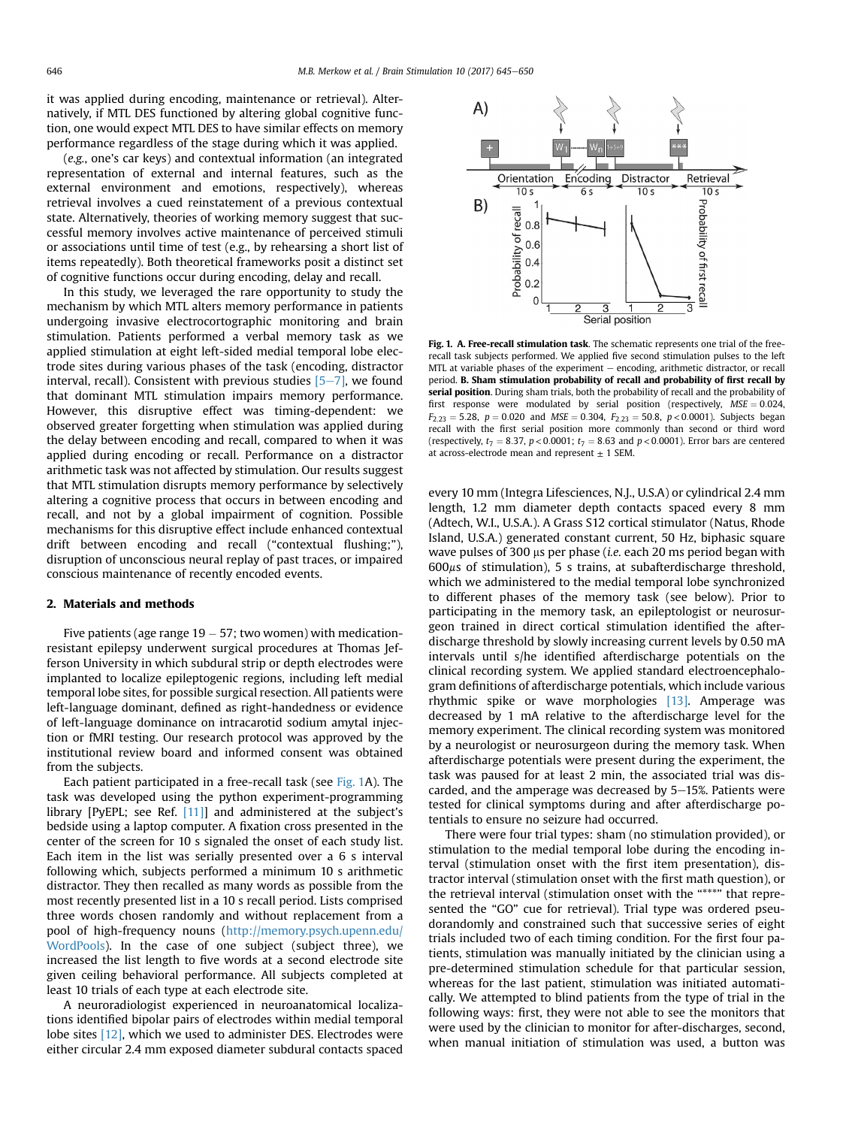<span id="page-1-0"></span>it was applied during encoding, maintenance or retrieval). Alternatively, if MTL DES functioned by altering global cognitive function, one would expect MTL DES to have similar effects on memory performance regardless of the stage during which it was applied.

(e.g., one's car keys) and contextual information (an integrated representation of external and internal features, such as the external environment and emotions, respectively), whereas retrieval involves a cued reinstatement of a previous contextual state. Alternatively, theories of working memory suggest that successful memory involves active maintenance of perceived stimuli or associations until time of test (e.g., by rehearsing a short list of items repeatedly). Both theoretical frameworks posit a distinct set of cognitive functions occur during encoding, delay and recall.

In this study, we leveraged the rare opportunity to study the mechanism by which MTL alters memory performance in patients undergoing invasive electrocortographic monitoring and brain stimulation. Patients performed a verbal memory task as we applied stimulation at eight left-sided medial temporal lobe electrode sites during various phases of the task (encoding, distractor interval, recall). Consistent with previous studies  $[5-7]$  $[5-7]$  $[5-7]$ , we found that dominant MTL stimulation impairs memory performance. However, this disruptive effect was timing-dependent: we observed greater forgetting when stimulation was applied during the delay between encoding and recall, compared to when it was applied during encoding or recall. Performance on a distractor arithmetic task was not affected by stimulation. Our results suggest that MTL stimulation disrupts memory performance by selectively altering a cognitive process that occurs in between encoding and recall, and not by a global impairment of cognition. Possible mechanisms for this disruptive effect include enhanced contextual drift between encoding and recall ("contextual flushing;"), disruption of unconscious neural replay of past traces, or impaired conscious maintenance of recently encoded events.

#### 2. Materials and methods

Five patients (age range  $19 - 57$ ; two women) with medicationresistant epilepsy underwent surgical procedures at Thomas Jefferson University in which subdural strip or depth electrodes were implanted to localize epileptogenic regions, including left medial temporal lobe sites, for possible surgical resection. All patients were left-language dominant, defined as right-handedness or evidence of left-language dominance on intracarotid sodium amytal injection or fMRI testing. Our research protocol was approved by the institutional review board and informed consent was obtained from the subjects.

Each patient participated in a free-recall task (see Fig. 1A). The task was developed using the python experiment-programming library [PyEPL; see Ref. [\[11\]\]](#page-5-0) and administered at the subject's bedside using a laptop computer. A fixation cross presented in the center of the screen for 10 s signaled the onset of each study list. Each item in the list was serially presented over a 6 s interval following which, subjects performed a minimum 10 s arithmetic distractor. They then recalled as many words as possible from the most recently presented list in a 10 s recall period. Lists comprised three words chosen randomly and without replacement from a pool of high-frequency nouns [\(http://memory.psych.upenn.edu/](http://memory.psych.upenn.edu/WordPools) [WordPools\)](http://memory.psych.upenn.edu/WordPools). In the case of one subject (subject three), we increased the list length to five words at a second electrode site given ceiling behavioral performance. All subjects completed at least 10 trials of each type at each electrode site.

A neuroradiologist experienced in neuroanatomical localizations identified bipolar pairs of electrodes within medial temporal lobe sites [\[12\]](#page-5-0), which we used to administer DES. Electrodes were either circular 2.4 mm exposed diameter subdural contacts spaced



Fig. 1. A. Free-recall stimulation task. The schematic represents one trial of the freerecall task subjects performed. We applied five second stimulation pulses to the left MTL at variable phases of the experiment  $-$  encoding, arithmetic distractor, or recall period. B. Sham stimulation probability of recall and probability of first recall by serial position. During sham trials, both the probability of recall and the probability of first response were modulated by serial position (respectively,  $MSE = 0.024$ ,  $F_{2,23} = 5.28$ ,  $p = 0.020$  and  $MSE = 0.304$ ,  $F_{2,23} = 50.8$ ,  $p < 0.0001$ ). Subjects began recall with the first serial position more commonly than second or third word (respectively,  $t_7 = 8.37$ ,  $p < 0.0001$ ;  $t_7 = 8.63$  and  $p < 0.0001$ ). Error bars are centered at across-electrode mean and represent  $\pm$  1 SEM.

every 10 mm (Integra Lifesciences, N.J., U.S.A) or cylindrical 2.4 mm length, 1.2 mm diameter depth contacts spaced every 8 mm (Adtech, W.I., U.S.A.). A Grass S12 cortical stimulator (Natus, Rhode Island, U.S.A.) generated constant current, 50 Hz, biphasic square wave pulses of 300  $\mu$ s per phase (*i.e.* each 20 ms period began with  $600\mu s$  of stimulation), 5 s trains, at subafterdischarge threshold, which we administered to the medial temporal lobe synchronized to different phases of the memory task (see below). Prior to participating in the memory task, an epileptologist or neurosurgeon trained in direct cortical stimulation identified the afterdischarge threshold by slowly increasing current levels by 0.50 mA intervals until s/he identified afterdischarge potentials on the clinical recording system. We applied standard electroencephalogram definitions of afterdischarge potentials, which include various rhythmic spike or wave morphologies [\[13\]](#page-5-0). Amperage was decreased by 1 mA relative to the afterdischarge level for the memory experiment. The clinical recording system was monitored by a neurologist or neurosurgeon during the memory task. When afterdischarge potentials were present during the experiment, the task was paused for at least 2 min, the associated trial was discarded, and the amperage was decreased by  $5-15%$ . Patients were tested for clinical symptoms during and after afterdischarge potentials to ensure no seizure had occurred.

There were four trial types: sham (no stimulation provided), or stimulation to the medial temporal lobe during the encoding interval (stimulation onset with the first item presentation), distractor interval (stimulation onset with the first math question), or the retrieval interval (stimulation onset with the "\*\*\*" that represented the "GO" cue for retrieval). Trial type was ordered pseudorandomly and constrained such that successive series of eight trials included two of each timing condition. For the first four patients, stimulation was manually initiated by the clinician using a pre-determined stimulation schedule for that particular session, whereas for the last patient, stimulation was initiated automatically. We attempted to blind patients from the type of trial in the following ways: first, they were not able to see the monitors that were used by the clinician to monitor for after-discharges, second, when manual initiation of stimulation was used, a button was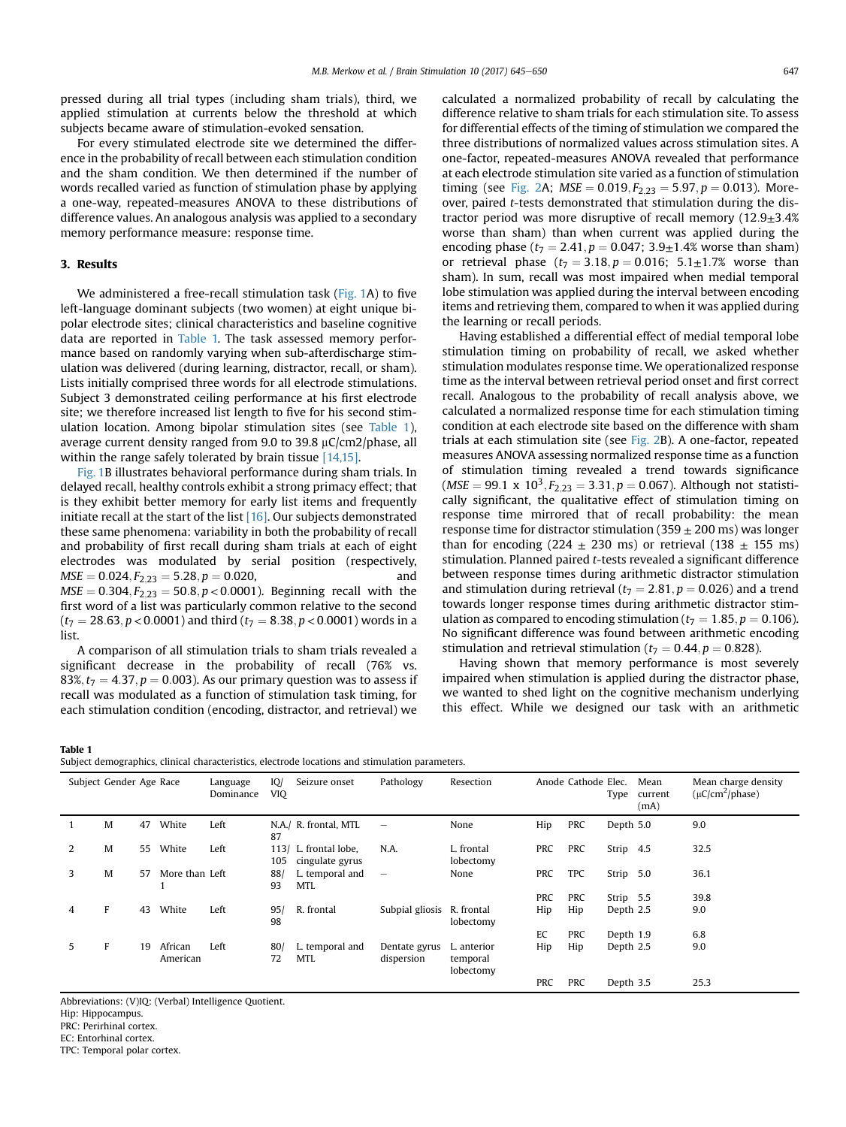pressed during all trial types (including sham trials), third, we applied stimulation at currents below the threshold at which subjects became aware of stimulation-evoked sensation.

For every stimulated electrode site we determined the difference in the probability of recall between each stimulation condition and the sham condition. We then determined if the number of words recalled varied as function of stimulation phase by applying a one-way, repeated-measures ANOVA to these distributions of difference values. An analogous analysis was applied to a secondary memory performance measure: response time.

# 3. Results

We administered a free-recall stimulation task [\(Fig. 1](#page-1-0)A) to five left-language dominant subjects (two women) at eight unique bipolar electrode sites; clinical characteristics and baseline cognitive data are reported in Table 1. The task assessed memory performance based on randomly varying when sub-afterdischarge stimulation was delivered (during learning, distractor, recall, or sham). Lists initially comprised three words for all electrode stimulations. Subject 3 demonstrated ceiling performance at his first electrode site; we therefore increased list length to five for his second stimulation location. Among bipolar stimulation sites (see Table 1), average current density ranged from 9.0 to 39.8  $\mu$ C/cm2/phase, all within the range safely tolerated by brain tissue [\[14,15\]](#page-5-0).

[Fig. 1B](#page-1-0) illustrates behavioral performance during sham trials. In delayed recall, healthy controls exhibit a strong primacy effect; that is they exhibit better memory for early list items and frequently initiate recall at the start of the list [\[16\]](#page-5-0). Our subjects demonstrated these same phenomena: variability in both the probability of recall and probability of first recall during sham trials at each of eight electrodes was modulated by serial position (respectively,  $MSE = 0.024, F_{2,23} = 5.28, p = 0.020,$  and  $MSE = 0.304, F_{2,23} = 50.8, p < 0.0001$ ). Beginning recall with the first word of a list was particularly common relative to the second  $(t_7 = 28.63, p < 0.0001)$  and third  $(t_7 = 8.38, p < 0.0001)$  words in a list.

A comparison of all stimulation trials to sham trials revealed a significant decrease in the probability of recall (76% vs. 83%,  $t_7 = 4.37$ ,  $p = 0.003$ ). As our primary question was to assess if recall was modulated as a function of stimulation task timing, for each stimulation condition (encoding, distractor, and retrieval) we calculated a normalized probability of recall by calculating the difference relative to sham trials for each stimulation site. To assess for differential effects of the timing of stimulation we compared the three distributions of normalized values across stimulation sites. A one-factor, repeated-measures ANOVA revealed that performance at each electrode stimulation site varied as a function of stimulation timing (see [Fig. 2A](#page-3-0);  $MSE = 0.019, F_{2,23} = 5.97, p = 0.013$ ). Moreover, paired t-tests demonstrated that stimulation during the distractor period was more disruptive of recall memory  $(12.9\pm3.4\%)$ worse than sham) than when current was applied during the encoding phase  $(t_7 = 2.41, p = 0.047; 3.9 \pm 1.4\%$  worse than sham) or retrieval phase  $(t_7 = 3.18, p = 0.016; 5.1 \pm 1.7%$  worse than sham). In sum, recall was most impaired when medial temporal lobe stimulation was applied during the interval between encoding items and retrieving them, compared to when it was applied during the learning or recall periods.

Having established a differential effect of medial temporal lobe stimulation timing on probability of recall, we asked whether stimulation modulates response time. We operationalized response time as the interval between retrieval period onset and first correct recall. Analogous to the probability of recall analysis above, we calculated a normalized response time for each stimulation timing condition at each electrode site based on the difference with sham trials at each stimulation site (see [Fig. 2B](#page-3-0)). A one-factor, repeated measures ANOVA assessing normalized response time as a function of stimulation timing revealed a trend towards significance  $(MSE = 99.1 \times 10^3, F_{2,23} = 3.31, p = 0.067)$ . Although not statistically significant, the qualitative effect of stimulation timing on response time mirrored that of recall probability: the mean response time for distractor stimulation (359  $\pm$  200 ms) was longer than for encoding (224  $\pm$  230 ms) or retrieval (138  $\pm$  155 ms) stimulation. Planned paired t-tests revealed a significant difference between response times during arithmetic distractor stimulation and stimulation during retrieval ( $t_7 = 2.81$ ,  $p = 0.026$ ) and a trend towards longer response times during arithmetic distractor stimulation as compared to encoding stimulation ( $t_7 = 1.85, p = 0.106$ ). No significant difference was found between arithmetic encoding stimulation and retrieval stimulation ( $t_7 = 0.44$ ,  $p = 0.828$ ).

Having shown that memory performance is most severely impaired when stimulation is applied during the distractor phase, we wanted to shed light on the cognitive mechanism underlying this effect. While we designed our task with an arithmetic

#### Table 1

| Subject demographics, clinical characteristics, electrode locations and stimulation parameters. |  |
|-------------------------------------------------------------------------------------------------|--|
|-------------------------------------------------------------------------------------------------|--|

| Subject Gender Age Race |   |    |                     | Language<br>Dominance | IQ/<br><b>VIO</b> | Seizure onset                       | Pathology                   | Resection                            |            | Anode Cathode Elec. | Type      | Mean<br>current<br>(mA) | Mean charge density<br>$(\mu C/cm^2$ /phase) |
|-------------------------|---|----|---------------------|-----------------------|-------------------|-------------------------------------|-----------------------------|--------------------------------------|------------|---------------------|-----------|-------------------------|----------------------------------------------|
|                         | M | 47 | White               | Left                  | 87                | N.A./ R. frontal, MTL               | $\qquad \qquad$             | None                                 | Hip        | <b>PRC</b>          | Depth 5.0 |                         | 9.0                                          |
| 2                       | M | 55 | White               | Left                  | 113/<br>105       | L. frontal lobe,<br>cingulate gyrus | N.A.                        | L. frontal<br>lobectomy              | <b>PRC</b> | <b>PRC</b>          | Strip 4.5 |                         | 32.5                                         |
| 3                       | M | 57 | More than Left      |                       | 88/<br>93         | L. temporal and<br><b>MTL</b>       | $\qquad \qquad -$           | None                                 | PRC        | <b>TPC</b>          | Strip 5.0 |                         | 36.1                                         |
|                         |   |    |                     |                       |                   |                                     |                             |                                      | <b>PRC</b> | <b>PRC</b>          | Strip 5.5 |                         | 39.8                                         |
| 4                       | F | 43 | White               | Left                  | 95/<br>98         | R. frontal                          | Subpial gliosis             | R. frontal<br>lobectomy              | Hip        | Hip                 | Depth 2.5 |                         | 9.0                                          |
|                         |   |    |                     |                       |                   |                                     |                             |                                      | EC         | <b>PRC</b>          | Depth 1.9 |                         | 6.8                                          |
| 5                       | F | 19 | African<br>American | Left                  | 80/<br>72         | L. temporal and<br><b>MTL</b>       | Dentate gyrus<br>dispersion | L. anterior<br>temporal<br>lobectomy | Hip        | Hip                 | Depth 2.5 |                         | 9.0                                          |
|                         |   |    |                     |                       |                   |                                     |                             |                                      | PRC        | <b>PRC</b>          | Depth 3.5 |                         | 25.3                                         |

Abbreviations: (V)IQ: (Verbal) Intelligence Quotient.

TPC: Temporal polar cortex.

Hip: Hippocampus.

PRC: Perirhinal cortex.

EC: Entorhinal cortex.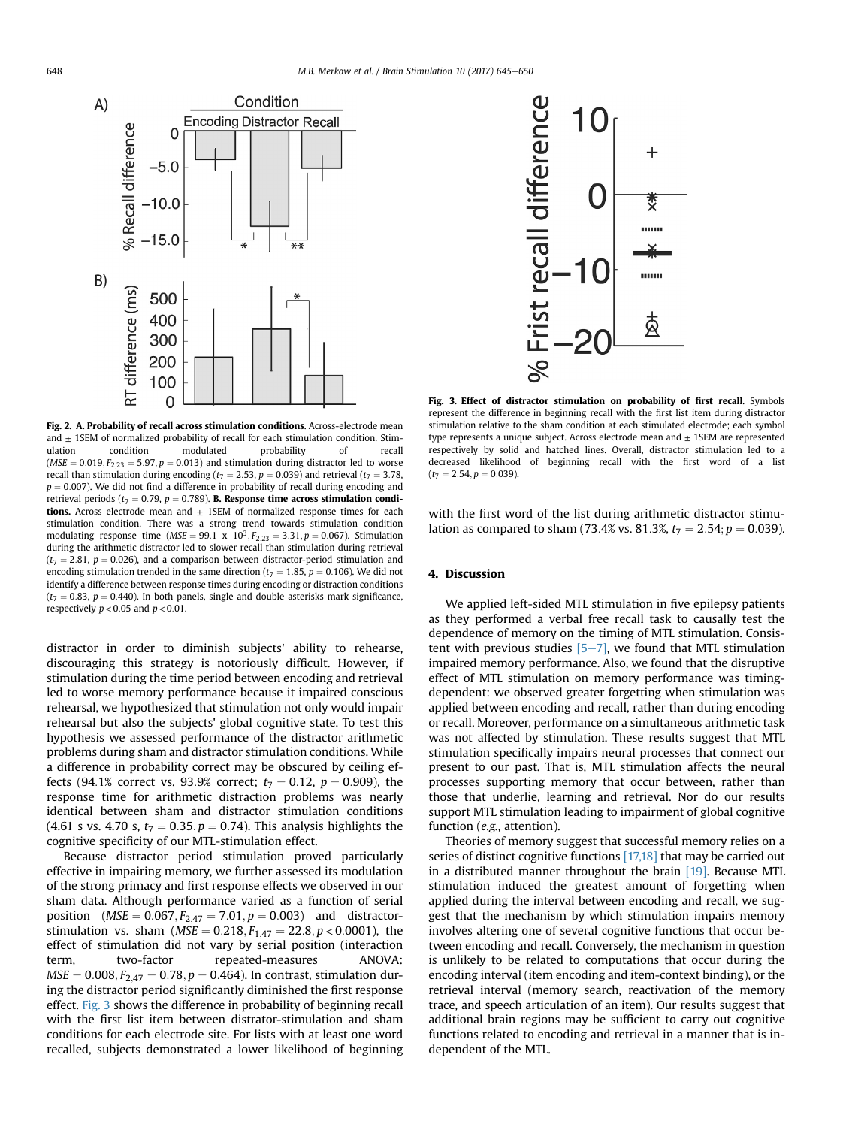<span id="page-3-0"></span>

Fig. 2. A. Probability of recall across stimulation conditions. Across-electrode mean and  $\pm$  1SEM of normalized probability of recall for each stimulation condition. Stim-<br>ulation condition modulated probability of recall ulation condition modulated probability of recall (MSE  $=$  0.019,  $F_{2,23} = 5.97, p = 0.013$ ) and stimulation during distractor led to worse recall than stimulation during encoding ( $t_7 = 2.53$ ,  $p = 0.039$ ) and retrieval ( $t_7 = 3.78$ ,  $p = 0.007$ ). We did not find a difference in probability of recall during encoding and retrieval periods ( $t_7 = 0.79$ ,  $p = 0.789$ ). **B. Response time across stimulation condi**tions. Across electrode mean and  $+$  1SEM of normalized response times for each stimulation condition. There was a strong trend towards stimulation condition modulating response time ( $MSE = 99.1 \times 10^3$ ,  $F_{2,23} = 3.31$ ,  $p = 0.067$ ). Stimulation during the arithmetic distractor led to slower recall than stimulation during retrieval  $(t_7 = 2.81, p = 0.026)$ , and a comparison between distractor-period stimulation and encoding stimulation trended in the same direction ( $t_7 = 1.85$ ,  $p = 0.106$ ). We did not identify a difference between response times during encoding or distraction conditions  $(t<sub>7</sub> = 0.83, p = 0.440)$ . In both panels, single and double asterisks mark significance, respectively  $p < 0.05$  and  $p < 0.01$ .

distractor in order to diminish subjects' ability to rehearse, discouraging this strategy is notoriously difficult. However, if stimulation during the time period between encoding and retrieval led to worse memory performance because it impaired conscious rehearsal, we hypothesized that stimulation not only would impair rehearsal but also the subjects' global cognitive state. To test this hypothesis we assessed performance of the distractor arithmetic problems during sham and distractor stimulation conditions. While a difference in probability correct may be obscured by ceiling effects (94.1% correct vs. 93.9% correct;  $t_7 = 0.12$ ,  $p = 0.909$ ), the response time for arithmetic distraction problems was nearly identical between sham and distractor stimulation conditions (4.61 s vs. 4.70 s,  $t_7 = 0.35, p = 0.74$ ). This analysis highlights the cognitive specificity of our MTL-stimulation effect.

Because distractor period stimulation proved particularly effective in impairing memory, we further assessed its modulation of the strong primacy and first response effects we observed in our sham data. Although performance varied as a function of serial position  $(MSE = 0.067, F_{2,47} = 7.01, p = 0.003)$  and distractorstimulation vs. sham ( $MSE = 0.218, F_{1,47} = 22.8, p < 0.0001$ ), the effect of stimulation did not vary by serial position (interaction term, two-factor repeated-measures ANOVA:  $MSE = 0.008, F_{2,47} = 0.78, p = 0.464$ ). In contrast, stimulation during the distractor period significantly diminished the first response effect. Fig. 3 shows the difference in probability of beginning recall with the first list item between distrator-stimulation and sham conditions for each electrode site. For lists with at least one word recalled, subjects demonstrated a lower likelihood of beginning



Fig. 3. Effect of distractor stimulation on probability of first recall. Symbols represent the difference in beginning recall with the first list item during distractor stimulation relative to the sham condition at each stimulated electrode; each symbol type represents a unique subject. Across electrode mean and  $\pm$  1SEM are represented respectively by solid and hatched lines. Overall, distractor stimulation led to a decreased likelihood of beginning recall with the first word of a list  $(t_7 = 2.54, p = 0.039).$ 

with the first word of the list during arithmetic distractor stimulation as compared to sham (73.4% vs. 81.3%,  $t_7 = 2.54$ ;  $p = 0.039$ ).

## 4. Discussion

We applied left-sided MTL stimulation in five epilepsy patients as they performed a verbal free recall task to causally test the dependence of memory on the timing of MTL stimulation. Consistent with previous studies  $[5-7]$  $[5-7]$  $[5-7]$ , we found that MTL stimulation impaired memory performance. Also, we found that the disruptive effect of MTL stimulation on memory performance was timingdependent: we observed greater forgetting when stimulation was applied between encoding and recall, rather than during encoding or recall. Moreover, performance on a simultaneous arithmetic task was not affected by stimulation. These results suggest that MTL stimulation specifically impairs neural processes that connect our present to our past. That is, MTL stimulation affects the neural processes supporting memory that occur between, rather than those that underlie, learning and retrieval. Nor do our results support MTL stimulation leading to impairment of global cognitive function (e.g., attention).

Theories of memory suggest that successful memory relies on a series of distinct cognitive functions [\[17,18\]](#page-5-0) that may be carried out in a distributed manner throughout the brain [\[19\].](#page-5-0) Because MTL stimulation induced the greatest amount of forgetting when applied during the interval between encoding and recall, we suggest that the mechanism by which stimulation impairs memory involves altering one of several cognitive functions that occur between encoding and recall. Conversely, the mechanism in question is unlikely to be related to computations that occur during the encoding interval (item encoding and item-context binding), or the retrieval interval (memory search, reactivation of the memory trace, and speech articulation of an item). Our results suggest that additional brain regions may be sufficient to carry out cognitive functions related to encoding and retrieval in a manner that is independent of the MTL.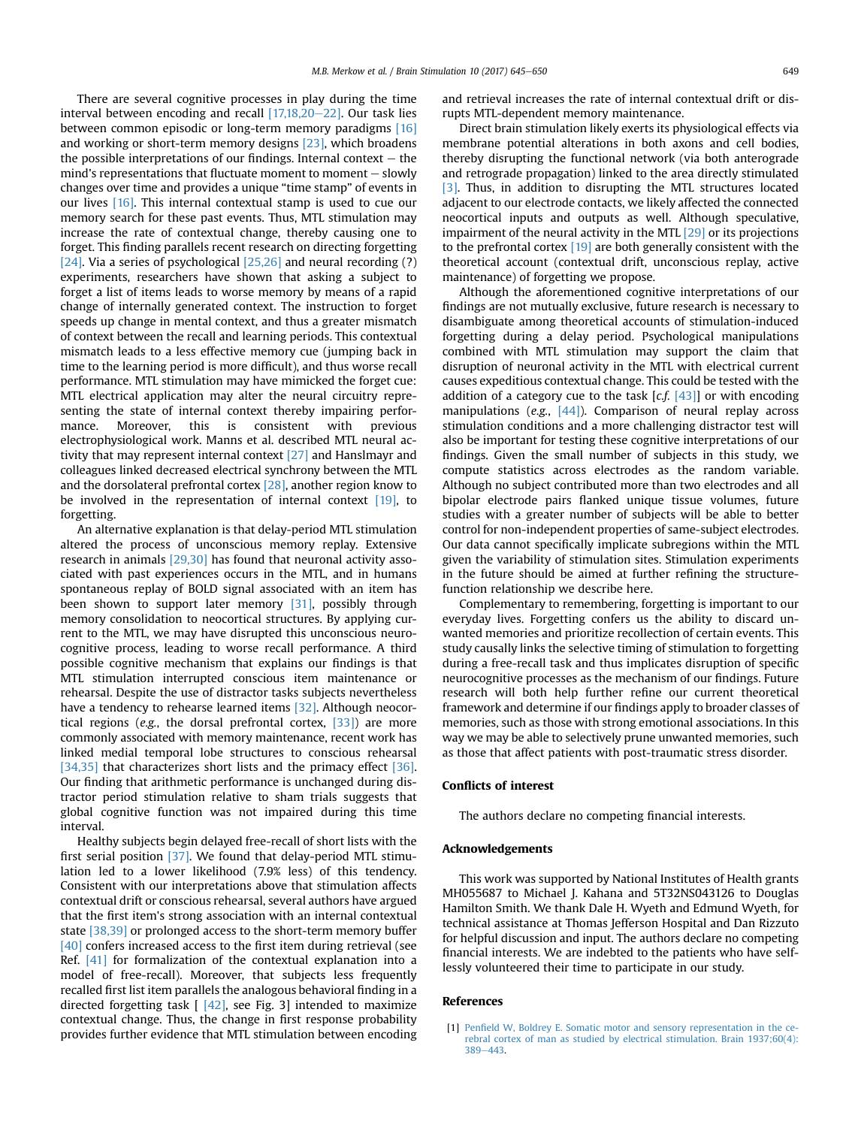<span id="page-4-0"></span>There are several cognitive processes in play during the time interval between encoding and recall  $[17,18,20-22]$  $[17,18,20-22]$  $[17,18,20-22]$ . Our task lies between common episodic or long-term memory paradigms [\[16\]](#page-5-0) and working or short-term memory designs [\[23\]](#page-5-0), which broadens the possible interpretations of our findings. Internal context  $-$  the mind's representations that fluctuate moment to moment  $-$  slowly changes over time and provides a unique "time stamp" of events in our lives [\[16\]](#page-5-0). This internal contextual stamp is used to cue our memory search for these past events. Thus, MTL stimulation may increase the rate of contextual change, thereby causing one to forget. This finding parallels recent research on directing forgetting [\[24\].](#page-5-0) Via a series of psychological [\[25,26\]](#page-5-0) and neural recording (?) experiments, researchers have shown that asking a subject to forget a list of items leads to worse memory by means of a rapid change of internally generated context. The instruction to forget speeds up change in mental context, and thus a greater mismatch of context between the recall and learning periods. This contextual mismatch leads to a less effective memory cue (jumping back in time to the learning period is more difficult), and thus worse recall performance. MTL stimulation may have mimicked the forget cue: MTL electrical application may alter the neural circuitry representing the state of internal context thereby impairing performance. Moreover, this is consistent with previous electrophysiological work. Manns et al. described MTL neural activity that may represent internal context [\[27\]](#page-5-0) and Hanslmayr and colleagues linked decreased electrical synchrony between the MTL and the dorsolateral prefrontal cortex [\[28\],](#page-5-0) another region know to be involved in the representation of internal context [\[19\]](#page-5-0), to forgetting.

An alternative explanation is that delay-period MTL stimulation altered the process of unconscious memory replay. Extensive research in animals [\[29,30\]](#page-5-0) has found that neuronal activity associated with past experiences occurs in the MTL, and in humans spontaneous replay of BOLD signal associated with an item has been shown to support later memory [\[31\],](#page-5-0) possibly through memory consolidation to neocortical structures. By applying current to the MTL, we may have disrupted this unconscious neurocognitive process, leading to worse recall performance. A third possible cognitive mechanism that explains our findings is that MTL stimulation interrupted conscious item maintenance or rehearsal. Despite the use of distractor tasks subjects nevertheless have a tendency to rehearse learned items [\[32\].](#page-5-0) Although neocortical regions (e.g., the dorsal prefrontal cortex,  $[33]$ ) are more commonly associated with memory maintenance, recent work has linked medial temporal lobe structures to conscious rehearsal [\[34,35\]](#page-5-0) that characterizes short lists and the primacy effect [\[36\].](#page-5-0) Our finding that arithmetic performance is unchanged during distractor period stimulation relative to sham trials suggests that global cognitive function was not impaired during this time interval.

Healthy subjects begin delayed free-recall of short lists with the first serial position [\[37\]](#page-5-0). We found that delay-period MTL stimulation led to a lower likelihood (7.9% less) of this tendency. Consistent with our interpretations above that stimulation affects contextual drift or conscious rehearsal, several authors have argued that the first item's strong association with an internal contextual state [\[38,39\]](#page-5-0) or prolonged access to the short-term memory buffer [\[40\]](#page-5-0) confers increased access to the first item during retrieval (see Ref. [\[41\]](#page-5-0) for formalization of the contextual explanation into a model of free-recall). Moreover, that subjects less frequently recalled first list item parallels the analogous behavioral finding in a directed forgetting task  $[$   $[42]$ , see Fig. 3] intended to maximize contextual change. Thus, the change in first response probability provides further evidence that MTL stimulation between encoding and retrieval increases the rate of internal contextual drift or disrupts MTL-dependent memory maintenance.

Direct brain stimulation likely exerts its physiological effects via membrane potential alterations in both axons and cell bodies, thereby disrupting the functional network (via both anterograde and retrograde propagation) linked to the area directly stimulated [\[3\]](#page-5-0). Thus, in addition to disrupting the MTL structures located adjacent to our electrode contacts, we likely affected the connected neocortical inputs and outputs as well. Although speculative, impairment of the neural activity in the MTL [\[29\]](#page-5-0) or its projections to the prefrontal cortex [\[19\]](#page-5-0) are both generally consistent with the theoretical account (contextual drift, unconscious replay, active maintenance) of forgetting we propose.

Although the aforementioned cognitive interpretations of our findings are not mutually exclusive, future research is necessary to disambiguate among theoretical accounts of stimulation-induced forgetting during a delay period. Psychological manipulations combined with MTL stimulation may support the claim that disruption of neuronal activity in the MTL with electrical current causes expeditious contextual change. This could be tested with the addition of a category cue to the task  $[c, f, [43]]$  $[c, f, [43]]$  $[c, f, [43]]$  or with encoding manipulations (e.g.,  $[44]$ ). Comparison of neural replay across stimulation conditions and a more challenging distractor test will also be important for testing these cognitive interpretations of our findings. Given the small number of subjects in this study, we compute statistics across electrodes as the random variable. Although no subject contributed more than two electrodes and all bipolar electrode pairs flanked unique tissue volumes, future studies with a greater number of subjects will be able to better control for non-independent properties of same-subject electrodes. Our data cannot specifically implicate subregions within the MTL given the variability of stimulation sites. Stimulation experiments in the future should be aimed at further refining the structurefunction relationship we describe here.

Complementary to remembering, forgetting is important to our everyday lives. Forgetting confers us the ability to discard unwanted memories and prioritize recollection of certain events. This study causally links the selective timing of stimulation to forgetting during a free-recall task and thus implicates disruption of specific neurocognitive processes as the mechanism of our findings. Future research will both help further refine our current theoretical framework and determine if our findings apply to broader classes of memories, such as those with strong emotional associations. In this way we may be able to selectively prune unwanted memories, such as those that affect patients with post-traumatic stress disorder.

## Conflicts of interest

The authors declare no competing financial interests.

## Acknowledgements

This work was supported by National Institutes of Health grants MH055687 to Michael J. Kahana and 5T32NS043126 to Douglas Hamilton Smith. We thank Dale H. Wyeth and Edmund Wyeth, for technical assistance at Thomas Jefferson Hospital and Dan Rizzuto for helpful discussion and input. The authors declare no competing financial interests. We are indebted to the patients who have selflessly volunteered their time to participate in our study.

#### References

[1] Penfi[eld W, Boldrey E. Somatic motor and sensory representation in the ce](http://refhub.elsevier.com/S1935-861X(16)30393-X/sref1)[rebral cortex of man as studied by electrical stimulation. Brain 1937;60\(4\):](http://refhub.elsevier.com/S1935-861X(16)30393-X/sref1) [389](http://refhub.elsevier.com/S1935-861X(16)30393-X/sref1)-[443](http://refhub.elsevier.com/S1935-861X(16)30393-X/sref1).